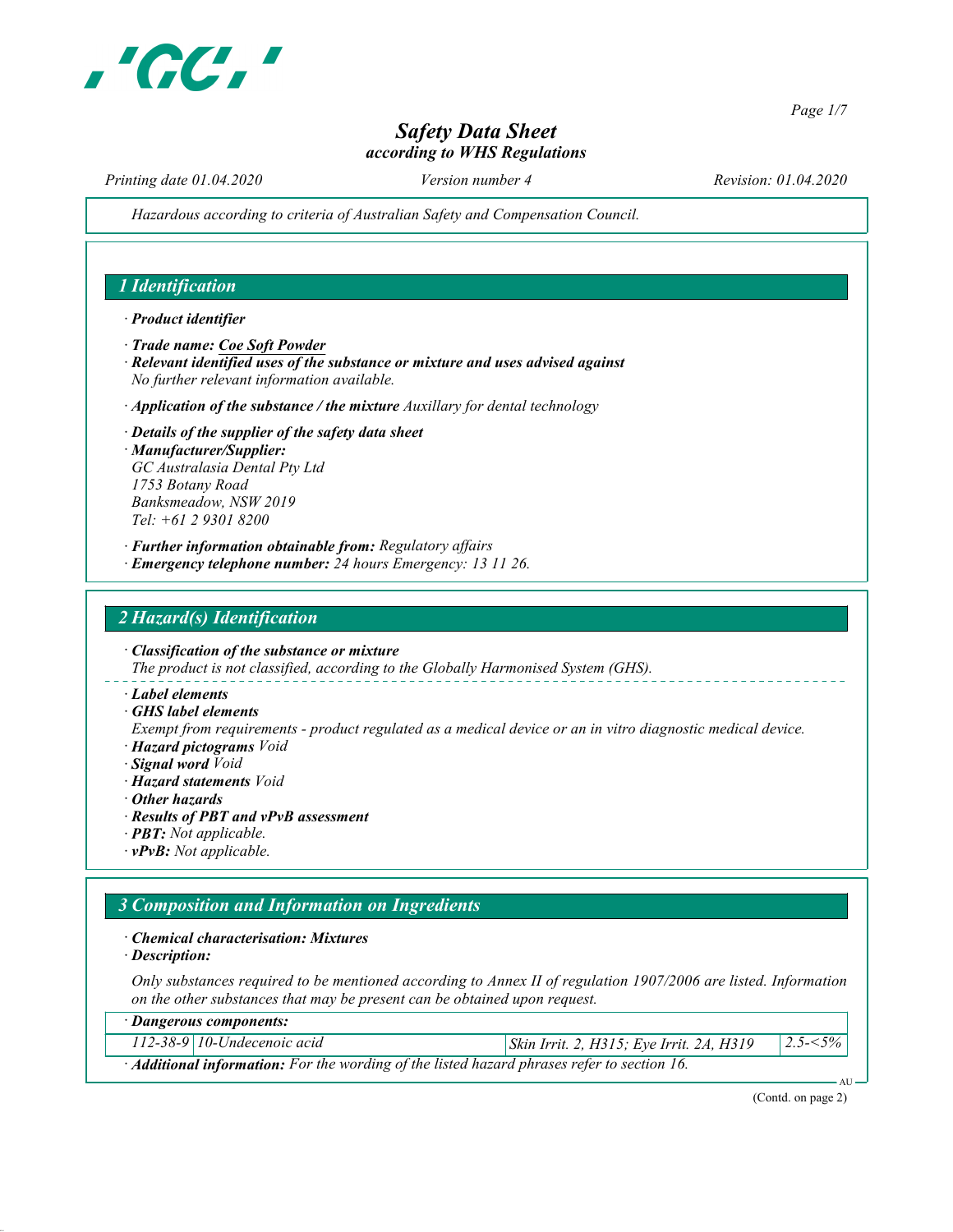

Page 1/7

# Safety Data Sheet according to WHS Regulations

Printing date 01.04.2020 Version number 4 Revision: 01.04.2020

Hazardous according to criteria of Australian Safety and Compensation Council.

## 1 Identification

#### · Product identifier

- · Trade name: Coe Soft Powder
- · Relevant identified uses of the substance or mixture and uses advised against No further relevant information available.
- $\cdot$  Application of the substance / the mixture Auxillary for dental technology
- · Details of the supplier of the safety data sheet · Manufacturer/Supplier: GC Australasia Dental Pty Ltd 1753 Botany Road Banksmeadow, NSW 2019 Tel: +61 2 9301 8200
- · Further information obtainable from: Regulatory affairs
- · Emergency telephone number: 24 hours Emergency: 13 11 26.

## 2 Hazard(s) Identification

· Classification of the substance or mixture The product is not classified, according to the Globally Harmonised System (GHS).

- · Label elements
- · GHS label elements

Exempt from requirements - product regulated as a medical device or an in vitro diagnostic medical device. · Hazard pictograms Void

- · Signal word Void
- · Hazard statements Void
- · Other hazards
- · Results of PBT and vPvB assessment
- · PBT: Not applicable.
- · vPvB: Not applicable.

# 3 Composition and Information on Ingredients

#### · Chemical characterisation: Mixtures

· Description:

Only substances required to be mentioned according to Annex II of regulation 1907/2006 are listed. Information on the other substances that may be present can be obtained upon request.

| · Dangerous components:                                                                   |                               |                                                 |               |  |  |  |
|-------------------------------------------------------------------------------------------|-------------------------------|-------------------------------------------------|---------------|--|--|--|
|                                                                                           | $112-38-9$ 10-Undecenoic acid | <i>Skin Irrit. 2, H315; Eye Irrit. 2A, H319</i> | $ 2.5 - 5\% $ |  |  |  |
| Additional information: For the wording of the listed hazard phrases refer to section 16. |                               |                                                 |               |  |  |  |

(Contd. on page 2)

AU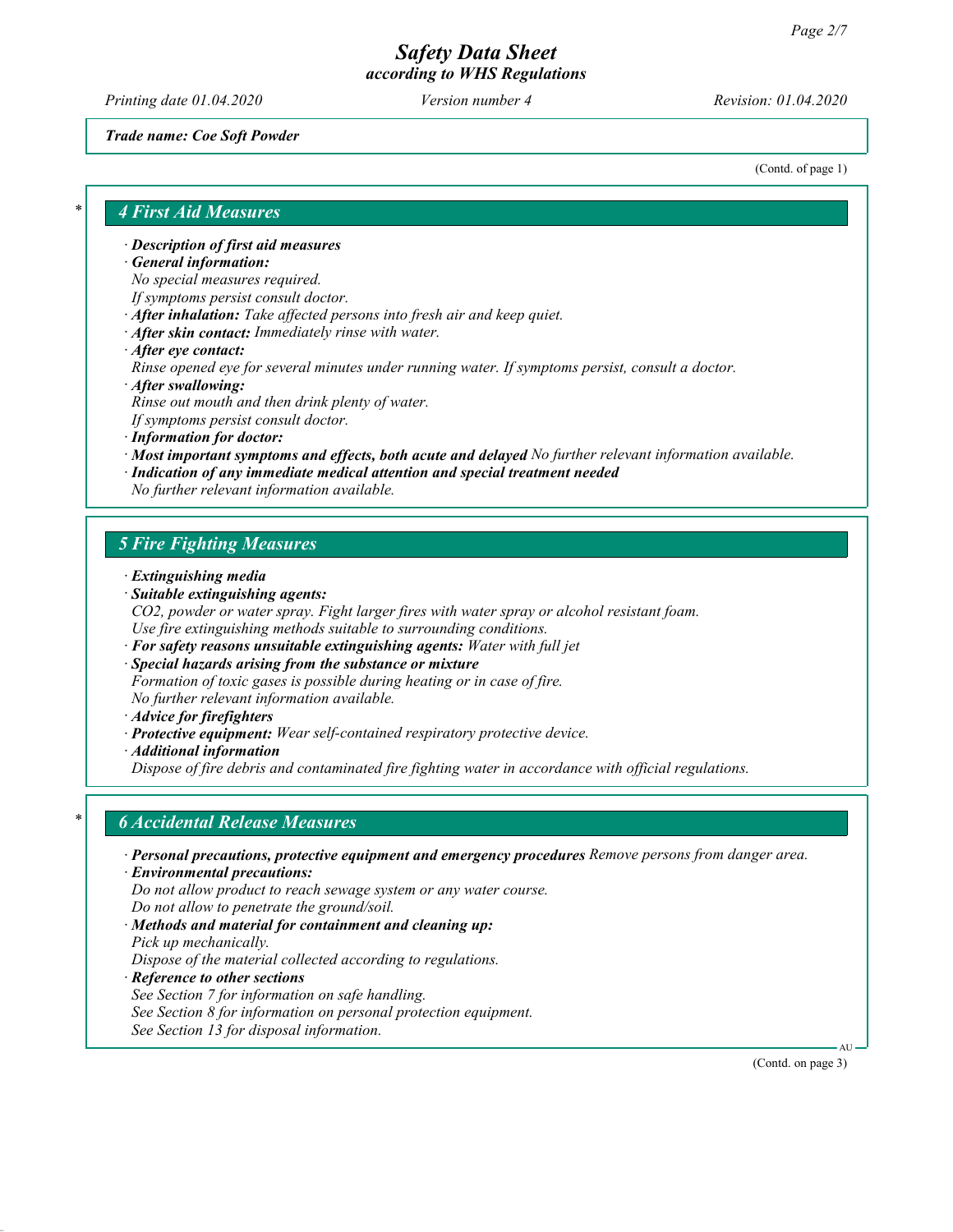Printing date 01.04.2020 Version number 4 Revision: 01.04.2020

Trade name: Coe Soft Powder

(Contd. of page 1)

#### 4 First Aid Measures

· Description of first aid measures

General information:

No special measures required.

- If symptoms persist consult doctor.
- · After inhalation: Take affected persons into fresh air and keep quiet.
- · After skin contact: Immediately rinse with water.
- · After eye contact:

Rinse opened eye for several minutes under running water. If symptoms persist, consult a doctor.

- · After swallowing: Rinse out mouth and then drink plenty of water. If symptoms persist consult doctor. · Information for doctor:
- · Most important symptoms and effects, both acute and delayed No further relevant information available.
- · Indication of any immediate medical attention and special treatment needed

No further relevant information available.

## 5 Fire Fighting Measures

- · Extinguishing media
- · Suitable extinguishing agents:
- CO2, powder or water spray. Fight larger fires with water spray or alcohol resistant foam. Use fire extinguishing methods suitable to surrounding conditions.
- · For safety reasons unsuitable extinguishing agents: Water with full jet
- · Special hazards arising from the substance or mixture Formation of toxic gases is possible during heating or in case of fire. No further relevant information available.
- · Advice for firefighters
- · Protective equipment: Wear self-contained respiratory protective device.
- · Additional information

Dispose of fire debris and contaminated fire fighting water in accordance with official regulations.

### **6 Accidental Release Measures**

- · Personal precautions, protective equipment and emergency procedures Remove persons from danger area.
- · Environmental precautions: Do not allow product to reach sewage system or any water course. Do not allow to penetrate the ground/soil.
- · Methods and material for containment and cleaning up:
- Pick up mechanically.

Dispose of the material collected according to regulations.

- · Reference to other sections
- See Section 7 for information on safe handling.
- See Section 8 for information on personal protection equipment.
- See Section 13 for disposal information.

(Contd. on page 3)

AU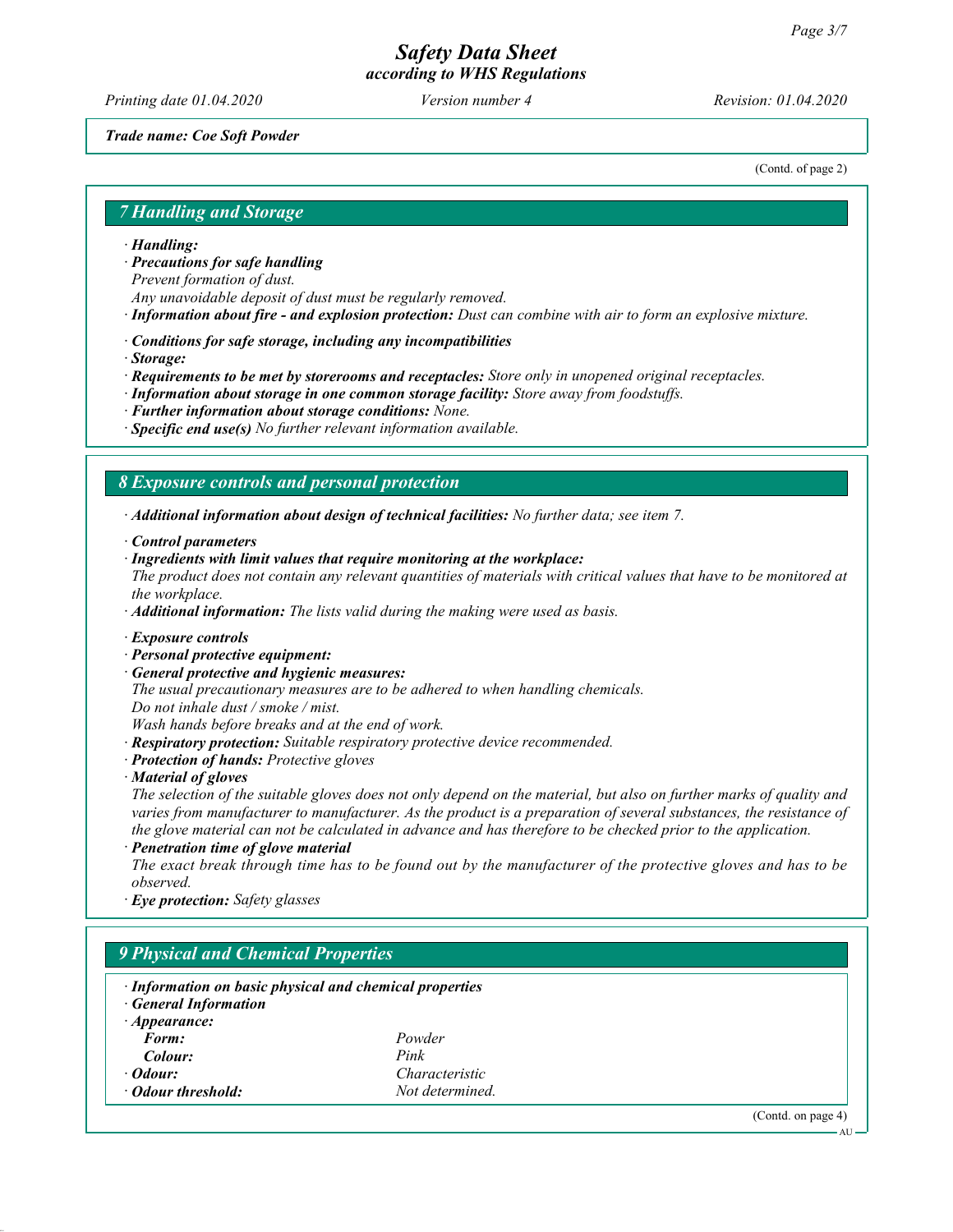Printing date 01.04.2020 Version number 4 Revision: 01.04.2020

#### Trade name: Coe Soft Powder

(Contd. of page 2)

## 7 Handling and Storage

#### · Handling:

· Precautions for safe handling

Prevent formation of dust.

- Any unavoidable deposit of dust must be regularly removed.
- · Information about fire and explosion protection: Dust can combine with air to form an explosive mixture.
- · Conditions for safe storage, including any incompatibilities

· Storage:

- · Requirements to be met by storerooms and receptacles: Store only in unopened original receptacles.
- · Information about storage in one common storage facility: Store away from foodstuffs.
- · Further information about storage conditions: None.
- $\cdot$  Specific end use(s) No further relevant information available.

#### 8 Exposure controls and personal protection

· Additional information about design of technical facilities: No further data; see item 7.

- · Control parameters
- · Ingredients with limit values that require monitoring at the workplace:

The product does not contain any relevant quantities of materials with critical values that have to be monitored at the workplace.

 $\cdot$  **Additional information:** The lists valid during the making were used as basis.

- · Exposure controls
- · Personal protective equipment:
- General protective and hygienic measures:

The usual precautionary measures are to be adhered to when handling chemicals.

Do not inhale dust / smoke / mist.

Wash hands before breaks and at the end of work.

- · Respiratory protection: Suitable respiratory protective device recommended.
- · Protection of hands: Protective gloves

· Material of gloves

The selection of the suitable gloves does not only depend on the material, but also on further marks of quality and varies from manufacturer to manufacturer. As the product is a preparation of several substances, the resistance of the glove material can not be calculated in advance and has therefore to be checked prior to the application.

· Penetration time of glove material

The exact break through time has to be found out by the manufacturer of the protective gloves and has to be observed.

· Eye protection: Safety glasses

# 9 Physical and Chemical Properties

- · Information on basic physical and chemical properties · General Information
- · Appearance: Form: Powder Colour: Pink · Odour: Characteristic **Odour threshold:** Not determined.

(Contd. on page 4)

AU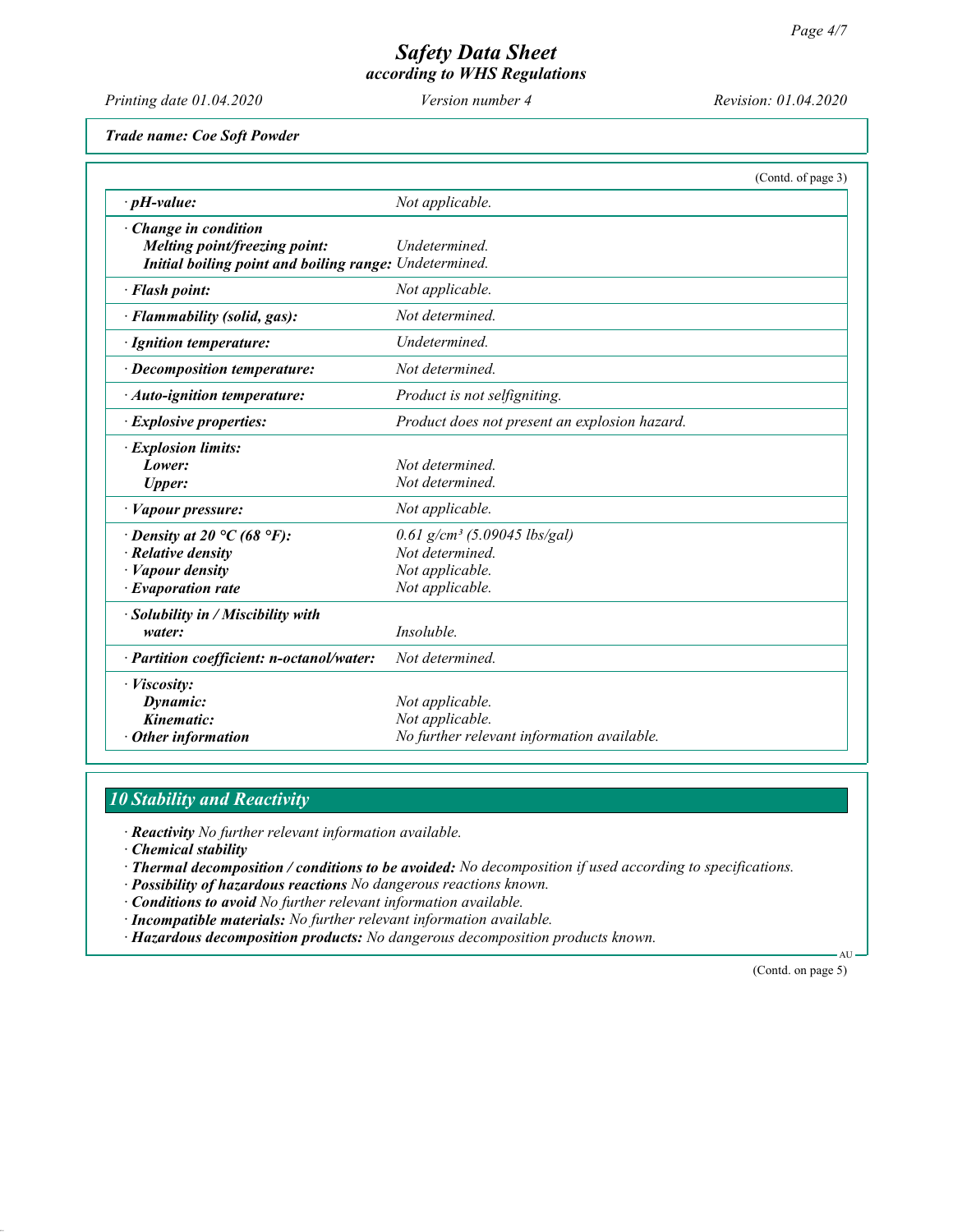Printing date 01.04.2020 Version number 4 Revision: 01.04.2020

Trade name: Coe Soft Powder

|                                                                                                                            | (Contd. of page 3)                                                                                  |  |
|----------------------------------------------------------------------------------------------------------------------------|-----------------------------------------------------------------------------------------------------|--|
| $\cdot$ pH-value:                                                                                                          | Not applicable.                                                                                     |  |
| · Change in condition<br>Melting point/freezing point:<br>Initial boiling point and boiling range: Undetermined.           | Undetermined.                                                                                       |  |
| · Flash point:                                                                                                             | Not applicable.                                                                                     |  |
| · Flammability (solid, gas):                                                                                               | Not determined.                                                                                     |  |
| · Ignition temperature:                                                                                                    | Undetermined.                                                                                       |  |
| $\cdot$ Decomposition temperature:                                                                                         | Not determined.                                                                                     |  |
| $\cdot$ Auto-ignition temperature:                                                                                         | Product is not selfigniting.                                                                        |  |
| <i>Explosive properties:</i>                                                                                               | Product does not present an explosion hazard.                                                       |  |
| · Explosion limits:<br>Lower:<br><b>Upper:</b>                                                                             | Not determined.<br>Not determined.                                                                  |  |
| · Vapour pressure:                                                                                                         | Not applicable.                                                                                     |  |
| $\cdot$ Density at 20 °C (68 °F):<br>$\cdot$ Relative density<br>$\cdot$ <i>Vapour density</i><br>$\cdot$ Evaporation rate | $0.61$ g/cm <sup>3</sup> (5.09045 lbs/gal)<br>Not determined.<br>Not applicable.<br>Not applicable. |  |
| $\cdot$ Solubility in / Miscibility with<br>water:                                                                         | Insoluble.                                                                                          |  |
| · Partition coefficient: n-octanol/water:                                                                                  | Not determined.                                                                                     |  |
| · <i>Viscosity</i> :<br>Dynamic:<br>Kinematic:<br>$\cdot$ Other information                                                | Not applicable.<br>Not applicable.<br>No further relevant information available.                    |  |

# 10 Stability and Reactivity

· Reactivity No further relevant information available.

· Chemical stability

· Thermal decomposition / conditions to be avoided: No decomposition if used according to specifications.

· Possibility of hazardous reactions No dangerous reactions known.

· Conditions to avoid No further relevant information available.

· Incompatible materials: No further relevant information available.

· Hazardous decomposition products: No dangerous decomposition products known.

(Contd. on page 5)

 $\Delta$ I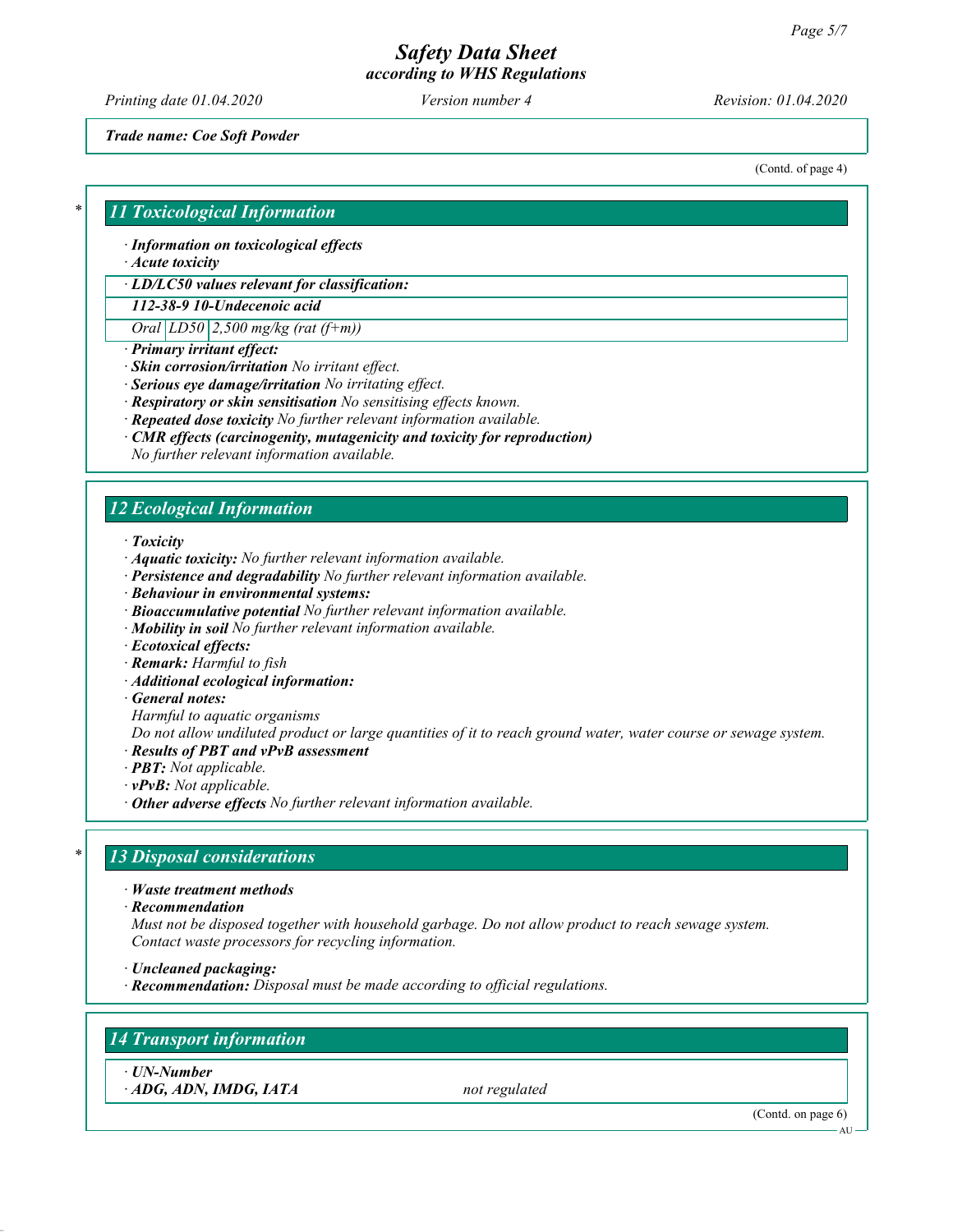Printing date 01.04.2020 Version number 4 Revision: 01.04.2020

Trade name: Coe Soft Powder

(Contd. of page 4)

### **11 Toxicological Information**

· Information on toxicological effects

· Acute toxicity

· LD/LC50 values relevant for classification:

112-38-9 10-Undecenoic acid

Oral  $LD50$  2,500 mg/kg (rat (f+m))

- · Primary irritant effect:
- · Skin corrosion/irritation No irritant effect.
- · Serious eye damage/irritation No irritating effect.
- · Respiratory or skin sensitisation No sensitising effects known.
- · Repeated dose toxicity No further relevant information available.
- · CMR effects (carcinogenity, mutagenicity and toxicity for reproduction)
- No further relevant information available.

# 12 Ecological Information

· Toxicity

- · Aquatic toxicity: No further relevant information available.
- · Persistence and degradability No further relevant information available.
- · Behaviour in environmental systems:
- · Bioaccumulative potential No further relevant information available.
- · Mobility in soil No further relevant information available.
- · Ecotoxical effects:
- · Remark: Harmful to fish
- · Additional ecological information:
- · General notes:

Harmful to aquatic organisms

Do not allow undiluted product or large quantities of it to reach ground water, water course or sewage system.

- · Results of PBT and vPvB assessment
- · PBT: Not applicable.
- · vPvB: Not applicable.
- $\cdot$  Other adverse effects No further relevant information available.

### 13 Disposal considerations

· Waste treatment methods

· Recommendation

Must not be disposed together with household garbage. Do not allow product to reach sewage system. Contact waste processors for recycling information.

- · Uncleaned packaging:
- · Recommendation: Disposal must be made according to official regulations.

### 14 Transport information

· UN-Number  $\cdot$  ADG, ADN, IMDG, IATA not regulated

(Contd. on page 6)

AU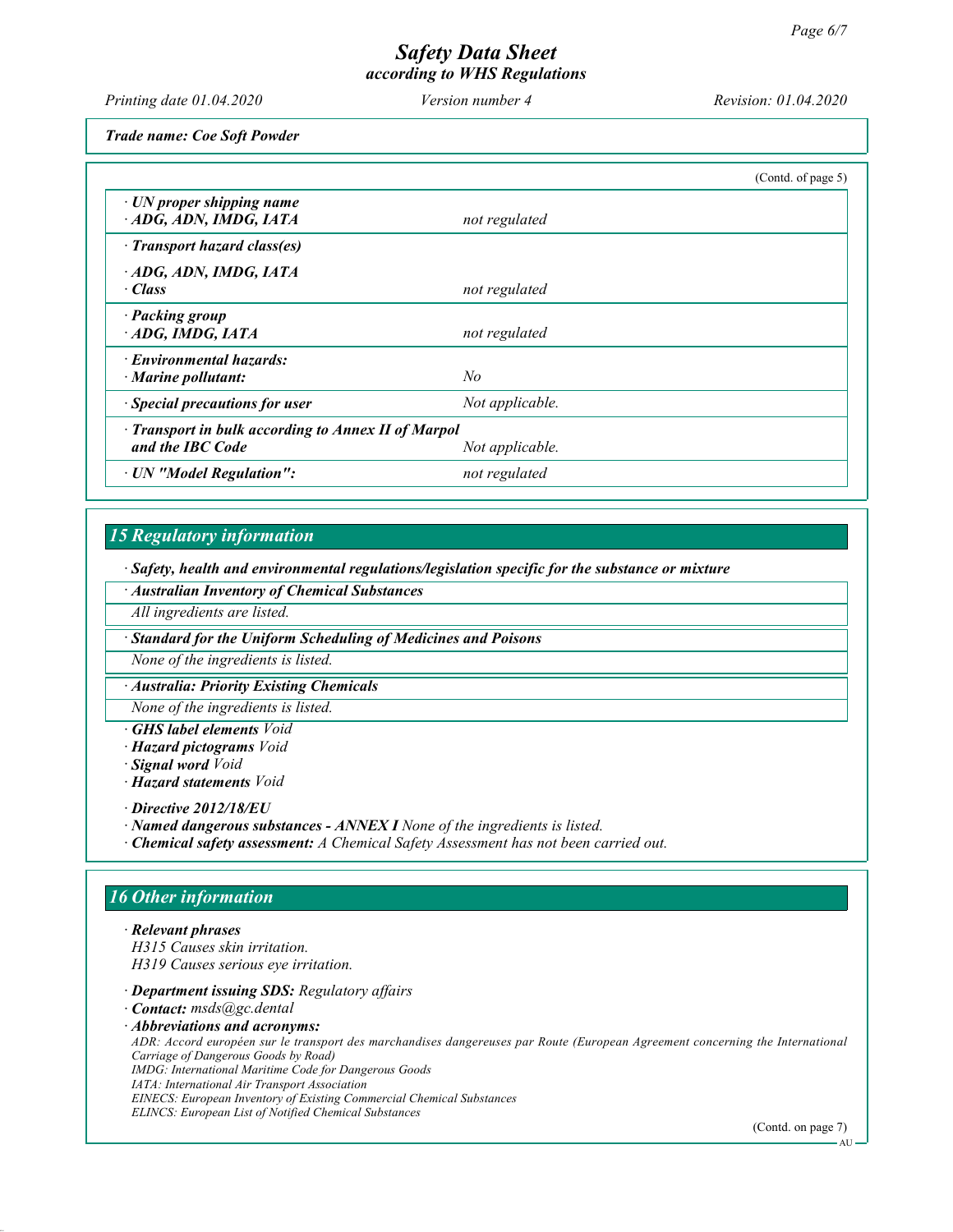Printing date 01.04.2020 Version number 4 Revision: 01.04.2020

Trade name: Coe Soft Powder

|                                                                                            |                 | (Contd. of page $5$ ) |  |
|--------------------------------------------------------------------------------------------|-----------------|-----------------------|--|
| $\cdot$ UN proper shipping name<br>ADG, ADN, IMDG, IATA                                    | not regulated   |                       |  |
| · Transport hazard class(es)                                                               |                 |                       |  |
| ADG, ADN, IMDG, IATA<br>· Class                                                            | not regulated   |                       |  |
| · Packing group<br>$\cdot$ ADG, IMDG, IATA                                                 | not regulated   |                       |  |
| · Environmental hazards:<br>$\cdot$ Marine pollutant:                                      | No              |                       |  |
| · Special precautions for user                                                             | Not applicable. |                       |  |
| · Transport in bulk according to Annex II of Marpol<br>and the IBC Code<br>Not applicable. |                 |                       |  |
| · UN "Model Regulation":                                                                   | not regulated   |                       |  |

# 15 Regulatory information

· Safety, health and environmental regulations/legislation specific for the substance or mixture

· Australian Inventory of Chemical Substances

All ingredients are listed.

· Standard for the Uniform Scheduling of Medicines and Poisons

None of the ingredients is listed.

· Australia: Priority Existing Chemicals

None of the ingredients is listed.

**GHS** label elements Void

· Hazard pictograms Void

· Signal word Void

· Hazard statements Void

· Directive 2012/18/EU

· Named dangerous substances - ANNEX I None of the ingredients is listed.

· Chemical safety assessment: A Chemical Safety Assessment has not been carried out.

### 16 Other information

· Relevant phrases H315 Causes skin irritation. H319 Causes serious eye irritation.

· Department issuing SDS: Regulatory affairs

· Contact: msds@gc.dental

· Abbreviations and acronyms:

ADR: Accord européen sur le transport des marchandises dangereuses par Route (European Agreement concerning the International Carriage of Dangerous Goods by Road) IMDG: International Maritime Code for Dangerous Goods IATA: International Air Transport Association

EINECS: European Inventory of Existing Commercial Chemical Substances ELINCS: European List of Notified Chemical Substances

(Contd. on page 7)

**AU**